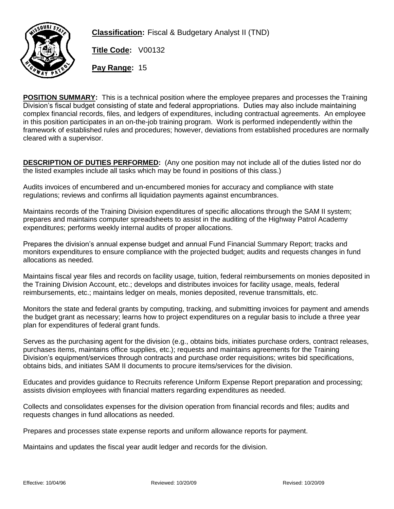

**Classification:** Fiscal & Budgetary Analyst II (TND)

**Title Code:** V00132

**Pay Range:** 15

**POSITION SUMMARY:** This is a technical position where the employee prepares and processes the Training Division's fiscal budget consisting of state and federal appropriations. Duties may also include maintaining complex financial records, files, and ledgers of expenditures, including contractual agreements. An employee in this position participates in an on-the-job training program. Work is performed independently within the framework of established rules and procedures; however, deviations from established procedures are normally cleared with a supervisor.

**DESCRIPTION OF DUTIES PERFORMED:** (Any one position may not include all of the duties listed nor do the listed examples include all tasks which may be found in positions of this class.)

Audits invoices of encumbered and un-encumbered monies for accuracy and compliance with state regulations; reviews and confirms all liquidation payments against encumbrances.

Maintains records of the Training Division expenditures of specific allocations through the SAM II system; prepares and maintains computer spreadsheets to assist in the auditing of the Highway Patrol Academy expenditures; performs weekly internal audits of proper allocations.

Prepares the division's annual expense budget and annual Fund Financial Summary Report; tracks and monitors expenditures to ensure compliance with the projected budget; audits and requests changes in fund allocations as needed.

Maintains fiscal year files and records on facility usage, tuition, federal reimbursements on monies deposited in the Training Division Account, etc.; develops and distributes invoices for facility usage, meals, federal reimbursements, etc.; maintains ledger on meals, monies deposited, revenue transmittals, etc.

Monitors the state and federal grants by computing, tracking, and submitting invoices for payment and amends the budget grant as necessary; learns how to project expenditures on a regular basis to include a three year plan for expenditures of federal grant funds.

Serves as the purchasing agent for the division (e.g., obtains bids, initiates purchase orders, contract releases, purchases items, maintains office supplies, etc.); requests and maintains agreements for the Training Division's equipment/services through contracts and purchase order requisitions; writes bid specifications, obtains bids, and initiates SAM II documents to procure items/services for the division.

Educates and provides guidance to Recruits reference Uniform Expense Report preparation and processing; assists division employees with financial matters regarding expenditures as needed.

Collects and consolidates expenses for the division operation from financial records and files; audits and requests changes in fund allocations as needed.

Prepares and processes state expense reports and uniform allowance reports for payment.

Maintains and updates the fiscal year audit ledger and records for the division.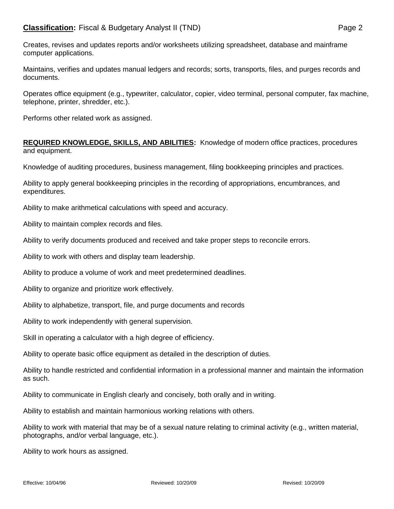Creates, revises and updates reports and/or worksheets utilizing spreadsheet, database and mainframe computer applications.

Maintains, verifies and updates manual ledgers and records; sorts, transports, files, and purges records and documents.

Operates office equipment (e.g., typewriter, calculator, copier, video terminal, personal computer, fax machine, telephone, printer, shredder, etc.).

Performs other related work as assigned.

**REQUIRED KNOWLEDGE, SKILLS, AND ABILITIES:** Knowledge of modern office practices, procedures and equipment.

Knowledge of auditing procedures, business management, filing bookkeeping principles and practices.

Ability to apply general bookkeeping principles in the recording of appropriations, encumbrances, and expenditures.

Ability to make arithmetical calculations with speed and accuracy.

Ability to maintain complex records and files.

Ability to verify documents produced and received and take proper steps to reconcile errors.

Ability to work with others and display team leadership.

Ability to produce a volume of work and meet predetermined deadlines.

Ability to organize and prioritize work effectively.

Ability to alphabetize, transport, file, and purge documents and records

Ability to work independently with general supervision.

Skill in operating a calculator with a high degree of efficiency.

Ability to operate basic office equipment as detailed in the description of duties.

Ability to handle restricted and confidential information in a professional manner and maintain the information as such.

Ability to communicate in English clearly and concisely, both orally and in writing.

Ability to establish and maintain harmonious working relations with others.

Ability to work with material that may be of a sexual nature relating to criminal activity (e.g., written material, photographs, and/or verbal language, etc.).

Ability to work hours as assigned.